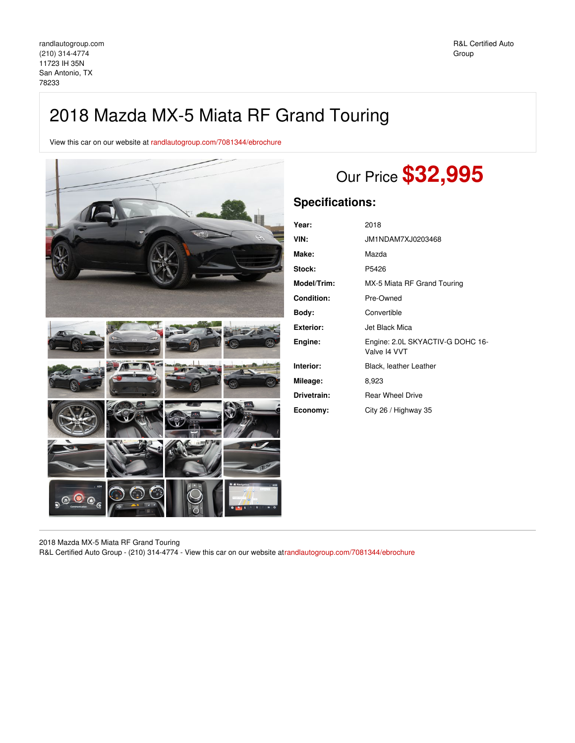## 2018 Mazda MX-5 Miata RF Grand Touring

View this car on our website at [randlautogroup.com/7081344/ebrochure](https://randlautogroup.com/vehicle/7081344/2018-mazda-mx-5-miata-rf-grand-touring-san-antonio-tx-78233/7081344/ebrochure)



# Our Price **\$32,995**

## **Specifications:**

| Year:              | 2018                                             |
|--------------------|--------------------------------------------------|
| VIN:               | JM1NDAM7XJ0203468                                |
| Make:              | Mazda                                            |
| Stock:             | P5426                                            |
| <b>Model/Trim:</b> | MX-5 Miata RF Grand Touring                      |
| Condition:         | Pre-Owned                                        |
| Body:              | Convertible                                      |
| Exterior:          | Jet Black Mica                                   |
| Engine:            | Engine: 2.0L SKYACTIV-G DOHC 16-<br>Valve I4 VVT |
| Interior:          | Black, leather Leather                           |
| Mileage:           | 8,923                                            |
| Drivetrain:        | <b>Rear Wheel Drive</b>                          |
| Economy:           | City 26 / Highway 35                             |

2018 Mazda MX-5 Miata RF Grand Touring

R&L Certified Auto Group - (210) 314-4774 - View this car on our website a[trandlautogroup.com/7081344/ebrochure](https://randlautogroup.com/vehicle/7081344/2018-mazda-mx-5-miata-rf-grand-touring-san-antonio-tx-78233/7081344/ebrochure)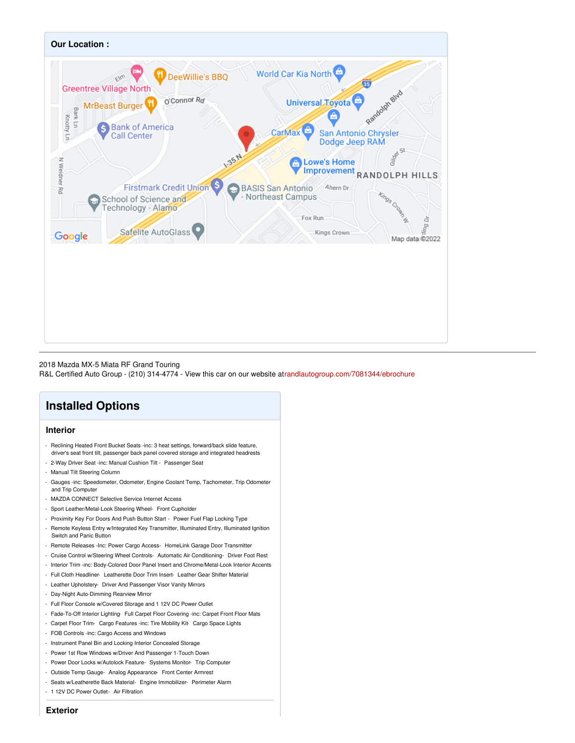

#### 2018 Mazda MX-5 Miata RF Grand Touring

R&L Certified Auto Group - (210) 314-4774 - View this car on our website a[trandlautogroup.com/7081344/ebrochure](https://randlautogroup.com/vehicle/7081344/2018-mazda-mx-5-miata-rf-grand-touring-san-antonio-tx-78233/7081344/ebrochure)

## **Installed Options**

### **Interior**

- Reclining Heated Front Bucket Seats -inc: 3 heat settings, forward/back slide feature, driver's seat front tilt, passenger back panel covered storage and integrated headrests - 2-Way Driver Seat -inc: Manual Cushion Tilt - Passenger Seat
- 
- Manual Tilt Steering Column
- Gauges -inc: Speedometer, Odometer, Engine Coolant Temp, Tachometer, Trip Odometer and Trip Computer
- MAZDA CONNECT Selective Service Internet Access
- Sport Leather/Metal-Look Steering Wheel- Front Cupholder
- Proximity Key For Doors And Push Button Start Power Fuel Flap Locking Type
- Remote Keyless Entry w/Integrated Key Transmitter, Illuminated Entry, Illuminated Ignition Switch and Panic Button
- Remote Releases -Inc: Power Cargo Access- HomeLink Garage Door Transmitter
- Cruise Control w/Steering Wheel Controls- Automatic Air Conditioning- Driver Foot Rest
- Interior Trim -inc: Body-Colored Door Panel Insert and Chrome/Metal-Look Interior Accents
- Full Cloth Headliner- Leatherette Door Trim Insert- Leather Gear Shifter Material
- Leather Upholstery- Driver And Passenger Visor Vanity Mirrors
- Day-Night Auto-Dimming Rearview Mirror
- Full Floor Console w/Covered Storage and 1 12V DC Power Outlet
- Fade-To-Off Interior Lighting- Full Carpet Floor Covering -inc: Carpet Front Floor Mats
- Carpet Floor Trim- Cargo Features -inc: Tire Mobility Kit- Cargo Space Lights
- FOB Controls -inc: Cargo Access and Windows
- Instrument Panel Bin and Locking Interior Concealed Storage
- Power 1st Row Windows w/Driver And Passenger 1-Touch Down
- Power Door Locks w/Autolock Feature- Systems Monitor- Trip Computer
- Outside Temp Gauge- Analog Appearance- Front Center Armrest
- Seats w/Leatherette Back Material- Engine Immobilizer- Perimeter Alarm
- 1 12V DC Power Outlet- Air Filtration